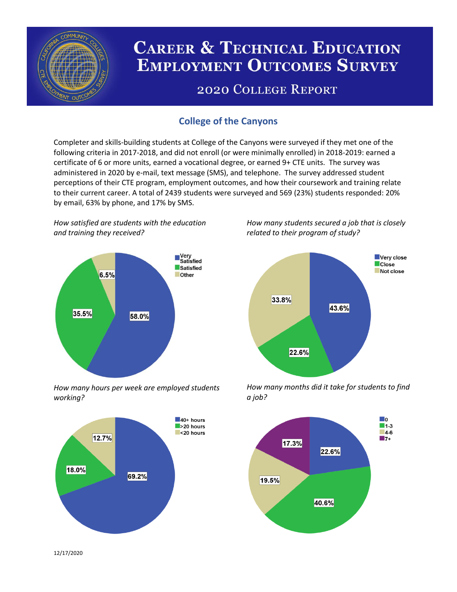

# **CAREER & TECHNICAL EDUCATION EMPLOYMENT OUTCOMES SURVEY**

## **2020 COLLEGE REPORT**

### **College of the Canyons**

Completer and skills-building students at College of the Canyons were surveyed if they met one of the following criteria in 2017-2018, and did not enroll (or were minimally enrolled) in 2018-2019: earned a certificate of 6 or more units, earned a vocational degree, or earned 9+ CTE units. The survey was administered in 2020 by e-mail, text message (SMS), and telephone. The survey addressed student perceptions of their CTE program, employment outcomes, and how their coursework and training relate to their current career. A total of 2439 students were surveyed and 569 (23%) students responded: 20% by email, 63% by phone, and 17% by SMS.

*How satisfied are students with the education and training they received?*



*How many hours per week are employed students working?*



*How many students secured a job that is closely related to their program of study?*



*How many months did it take for students to find a job?*



12/17/2020